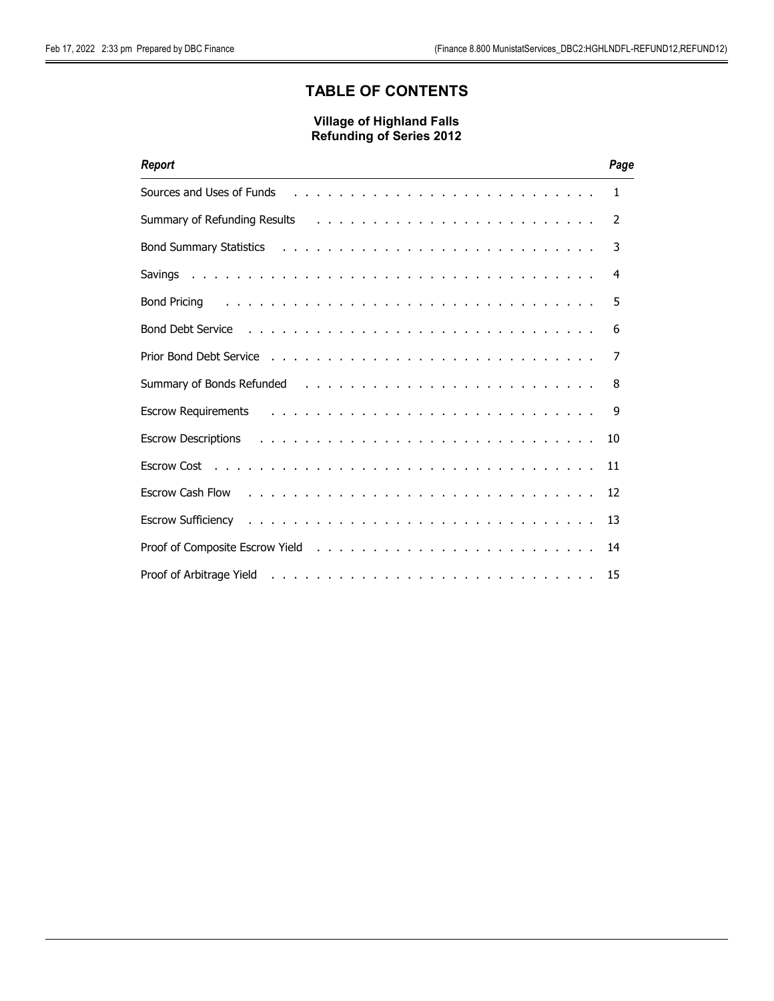# TABLE OF CONTENTS

| Report                                                                                                                                                                                                                         | Page         |
|--------------------------------------------------------------------------------------------------------------------------------------------------------------------------------------------------------------------------------|--------------|
|                                                                                                                                                                                                                                | $\mathbf{1}$ |
|                                                                                                                                                                                                                                | 2            |
| Bond Summary Statistics resources and summary Statistics resources in the contract of the contract of the control of the contract of the contract of the contract of the contract of the contract of the contract of the contr | 3            |
|                                                                                                                                                                                                                                | 4            |
|                                                                                                                                                                                                                                | 5            |
| Bond Debt Service Theory of the Contract of the Contract of the Contract of the Contract of the Contract of the Contract of the Contract of the Contract of the Contract of the Contract of the Contract of the Contract of th | 6            |
|                                                                                                                                                                                                                                | 7            |
| Summary of Bonds Refunded (a) and a subset of the subset of the subset of the subset of the subset of the subset of the subset of the subset of the subset of the subset of the subset of the subset of the subset of the subs | 8            |
|                                                                                                                                                                                                                                | 9            |
| Escrow Descriptions (Fig. 1, The Fig. 1, Theorem 1, Theorem 1, Theorem 2, Theorem 2, Theorem 2, Theorem 2, The                                                                                                                 | 10           |
|                                                                                                                                                                                                                                | 11           |
| Escrow Cash Flow response to the contract of the contract of the contract of the contract of the contract of the contract of the contract of the contract of the contract of the contract of the contract of the contract of t | 12           |
| Escrow Sufficiency enterpreteration of the contract of the contract of the contract of the contract of the contract of the contract of the contract of the contract of the contract of the contract of the contract of the con | 13           |
|                                                                                                                                                                                                                                | 14           |
|                                                                                                                                                                                                                                | 15           |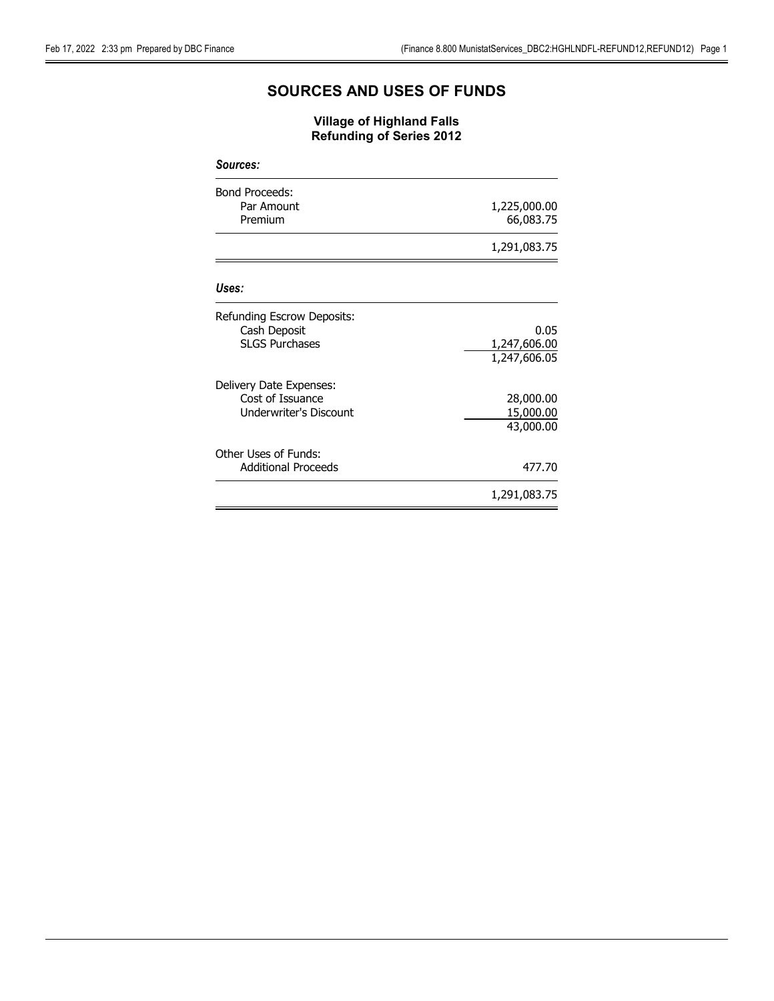# SOURCES AND USES OF FUNDS

| <b>Sources:</b>                   |              |
|-----------------------------------|--------------|
| <b>Bond Proceeds:</b>             |              |
| Par Amount                        | 1,225,000.00 |
| Premium                           | 66,083.75    |
|                                   | 1,291,083.75 |
| Uses:                             |              |
| <b>Refunding Escrow Deposits:</b> |              |
| Cash Deposit                      | 0.05         |
| <b>SLGS Purchases</b>             | 1,247,606.00 |
|                                   | 1,247,606.05 |
| Delivery Date Expenses:           |              |
| Cost of Issuance                  | 28,000.00    |
| Underwriter's Discount            | 15,000.00    |
|                                   | 43,000.00    |
| Other Uses of Funds:              |              |
| <b>Additional Proceeds</b>        | 477.70       |
|                                   | 1,291,083.75 |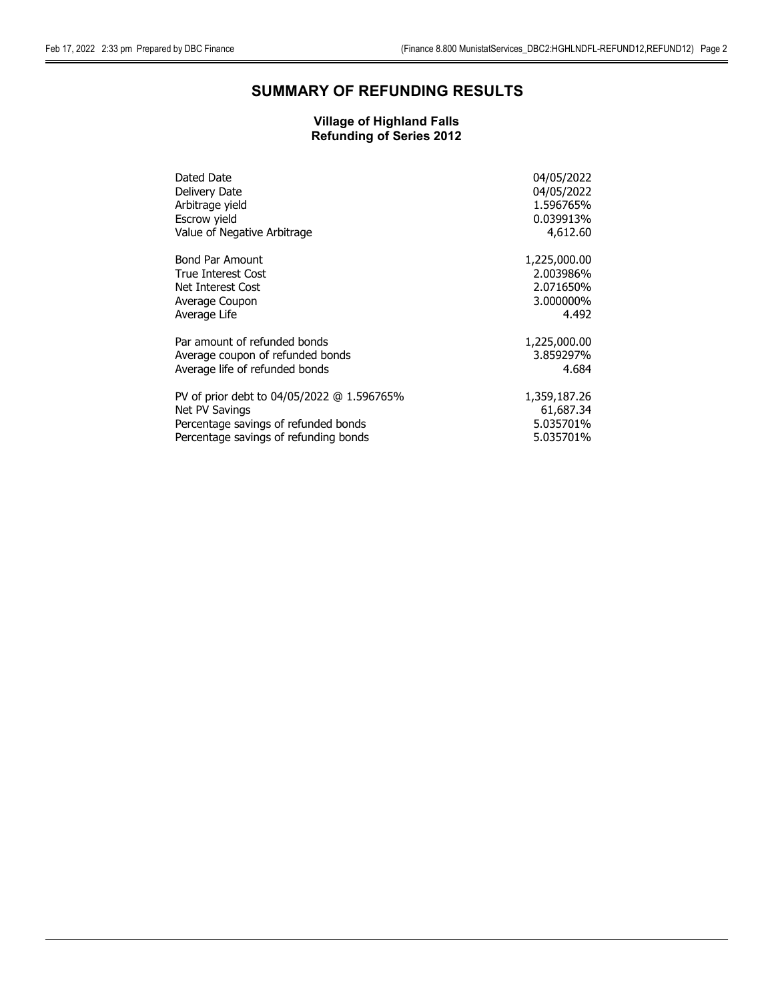# SUMMARY OF REFUNDING RESULTS

| Dated Date                                 | 04/05/2022   |
|--------------------------------------------|--------------|
| Delivery Date                              | 04/05/2022   |
| Arbitrage yield                            | 1.596765%    |
| Escrow yield                               | 0.039913%    |
| Value of Negative Arbitrage                | 4,612.60     |
| <b>Bond Par Amount</b>                     | 1,225,000.00 |
| True Interest Cost                         | 2.003986%    |
| Net Interest Cost                          | 2.071650%    |
| Average Coupon                             | 3.000000%    |
| Average Life                               | 4.492        |
| Par amount of refunded bonds               | 1,225,000.00 |
| Average coupon of refunded bonds           | 3.859297%    |
| Average life of refunded bonds             | 4.684        |
| PV of prior debt to 04/05/2022 @ 1.596765% | 1,359,187.26 |
| Net PV Savings                             | 61,687.34    |
| Percentage savings of refunded bonds       | 5.035701%    |
| Percentage savings of refunding bonds      | 5.035701%    |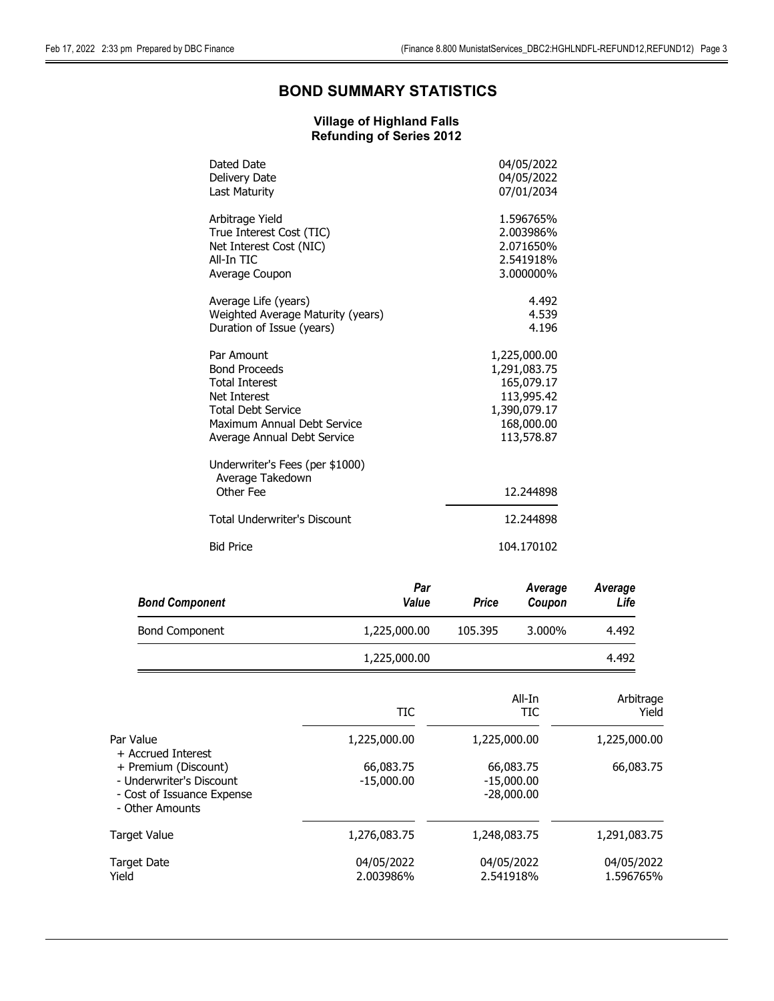# BOND SUMMARY STATISTICS

| Dated Date                                                       | 04/05/2022   |
|------------------------------------------------------------------|--------------|
| Delivery Date                                                    | 04/05/2022   |
| Last Maturity                                                    | 07/01/2034   |
| Arbitrage Yield                                                  | 1.596765%    |
| True Interest Cost (TIC)                                         | 2.003986%    |
| Net Interest Cost (NIC)                                          | 2.071650%    |
| All-In TIC                                                       | 2.541918%    |
| Average Coupon                                                   | 3.000000%    |
| Average Life (years)                                             | 4.492        |
| Weighted Average Maturity (years)                                | 4.539        |
| Duration of Issue (years)                                        | 4.196        |
| Par Amount                                                       | 1,225,000.00 |
| <b>Bond Proceeds</b>                                             | 1,291,083.75 |
| <b>Total Interest</b>                                            | 165,079.17   |
| <b>Net Interest</b>                                              | 113,995.42   |
| <b>Total Debt Service</b>                                        | 1,390,079.17 |
| Maximum Annual Debt Service                                      | 168,000.00   |
| Average Annual Debt Service                                      | 113,578.87   |
| Underwriter's Fees (per \$1000)<br>Average Takedown<br>Other Fee | 12.244898    |
| <b>Total Underwriter's Discount</b>                              | 12.244898    |
| <b>Bid Price</b>                                                 | 104.170102   |
|                                                                  |              |

| <b>Bond Component</b> | Par<br>Value | Price   | Average<br>Coupon | Average<br>Life |
|-----------------------|--------------|---------|-------------------|-----------------|
| <b>Bond Component</b> | 1,225,000.00 | 105.395 | 3.000%            | 4.492           |
|                       | 1,225,000.00 |         |                   | 4.492           |

|                                                                                                   | TIC                       | All-In<br>TIC                             | Arbitrage<br>Yield      |
|---------------------------------------------------------------------------------------------------|---------------------------|-------------------------------------------|-------------------------|
| Par Value<br>+ Accrued Interest                                                                   | 1,225,000.00              | 1,225,000.00                              | 1,225,000.00            |
| + Premium (Discount)<br>- Underwriter's Discount<br>- Cost of Issuance Expense<br>- Other Amounts | 66,083.75<br>$-15,000.00$ | 66,083.75<br>$-15,000.00$<br>$-28,000.00$ | 66,083.75               |
| Target Value                                                                                      | 1,276,083.75              | 1,248,083.75                              | 1,291,083.75            |
| Target Date<br>Yield                                                                              | 04/05/2022<br>2.003986%   | 04/05/2022<br>2.541918%                   | 04/05/2022<br>1.596765% |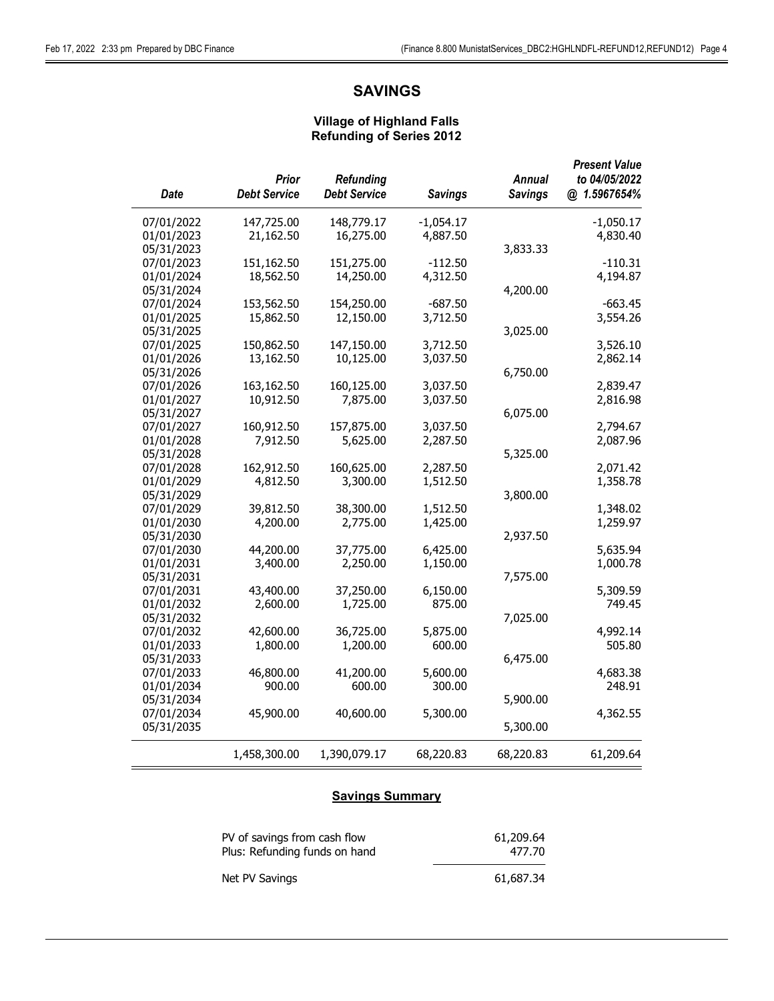# SAVINGS

#### Village of Highland Falls Refunding of Series 2012

| Date       | <b>Prior</b><br><b>Debt Service</b> | <b>Refunding</b><br><b>Debt Service</b> | <b>Savings</b> | <b>Annual</b><br><b>Savings</b> | <b>Present Value</b><br>to 04/05/2022<br>@ 1.5967654% |
|------------|-------------------------------------|-----------------------------------------|----------------|---------------------------------|-------------------------------------------------------|
| 07/01/2022 | 147,725.00                          | 148,779.17                              | $-1,054.17$    |                                 | $-1,050.17$                                           |
| 01/01/2023 | 21,162.50                           | 16,275.00                               | 4,887.50       |                                 | 4,830.40                                              |
| 05/31/2023 |                                     |                                         |                | 3,833.33                        |                                                       |
| 07/01/2023 | 151,162.50                          | 151,275.00                              | $-112.50$      |                                 | $-110.31$                                             |
| 01/01/2024 | 18,562.50                           | 14,250.00                               | 4,312.50       |                                 | 4,194.87                                              |
| 05/31/2024 |                                     |                                         |                | 4,200.00                        |                                                       |
| 07/01/2024 | 153,562.50                          | 154,250.00                              | $-687.50$      |                                 | $-663.45$                                             |
| 01/01/2025 | 15,862.50                           | 12,150.00                               | 3,712.50       |                                 | 3,554.26                                              |
| 05/31/2025 |                                     |                                         |                | 3,025.00                        |                                                       |
| 07/01/2025 | 150,862.50                          | 147,150.00                              | 3,712.50       |                                 | 3,526.10                                              |
| 01/01/2026 | 13,162.50                           | 10,125.00                               | 3,037.50       |                                 | 2,862.14                                              |
| 05/31/2026 |                                     |                                         |                | 6,750.00                        |                                                       |
| 07/01/2026 | 163,162.50                          | 160,125.00                              | 3,037.50       |                                 | 2,839.47                                              |
| 01/01/2027 | 10,912.50                           | 7,875.00                                | 3,037.50       |                                 | 2,816.98                                              |
| 05/31/2027 |                                     |                                         |                | 6,075.00                        |                                                       |
| 07/01/2027 | 160,912.50                          | 157,875.00                              | 3,037.50       |                                 | 2,794.67                                              |
| 01/01/2028 | 7,912.50                            | 5,625.00                                | 2,287.50       |                                 | 2,087.96                                              |
| 05/31/2028 |                                     |                                         |                | 5,325.00                        |                                                       |
| 07/01/2028 | 162,912.50                          | 160,625.00                              | 2,287.50       |                                 | 2,071.42                                              |
| 01/01/2029 | 4,812.50                            | 3,300.00                                | 1,512.50       |                                 | 1,358.78                                              |
| 05/31/2029 |                                     |                                         |                | 3,800.00                        |                                                       |
| 07/01/2029 | 39,812.50                           | 38,300.00                               | 1,512.50       |                                 | 1,348.02                                              |
| 01/01/2030 | 4,200.00                            | 2,775.00                                | 1,425.00       |                                 | 1,259.97                                              |
| 05/31/2030 |                                     |                                         |                | 2,937.50                        |                                                       |
| 07/01/2030 | 44,200.00                           | 37,775.00                               | 6,425.00       |                                 | 5,635.94                                              |
| 01/01/2031 | 3,400.00                            | 2,250.00                                | 1,150.00       |                                 | 1,000.78                                              |
| 05/31/2031 |                                     |                                         |                | 7,575.00                        |                                                       |
| 07/01/2031 | 43,400.00                           | 37,250.00                               | 6,150.00       |                                 | 5,309.59                                              |
| 01/01/2032 | 2,600.00                            | 1,725.00                                | 875.00         |                                 | 749.45                                                |
| 05/31/2032 |                                     |                                         |                | 7,025.00                        |                                                       |
| 07/01/2032 | 42,600.00                           | 36,725.00                               | 5,875.00       |                                 | 4,992.14                                              |
| 01/01/2033 | 1,800.00                            | 1,200.00                                | 600.00         |                                 | 505.80                                                |
| 05/31/2033 |                                     |                                         |                | 6,475.00                        |                                                       |
| 07/01/2033 | 46,800.00                           | 41,200.00                               | 5,600.00       |                                 | 4,683.38                                              |
| 01/01/2034 | 900.00                              | 600.00                                  | 300.00         |                                 | 248.91                                                |
| 05/31/2034 |                                     |                                         |                | 5,900.00                        |                                                       |
| 07/01/2034 | 45,900.00                           | 40,600.00                               | 5,300.00       |                                 | 4,362.55                                              |
| 05/31/2035 |                                     |                                         |                | 5,300.00                        |                                                       |
|            | 1,458,300.00                        | 1,390,079.17                            | 68,220.83      | 68,220.83                       | 61,209.64                                             |

### **Savings Summary**

| PV of savings from cash flow  | 61,209.64 |
|-------------------------------|-----------|
| Plus: Refunding funds on hand | 477.70    |
| Net PV Savings                | 61,687.34 |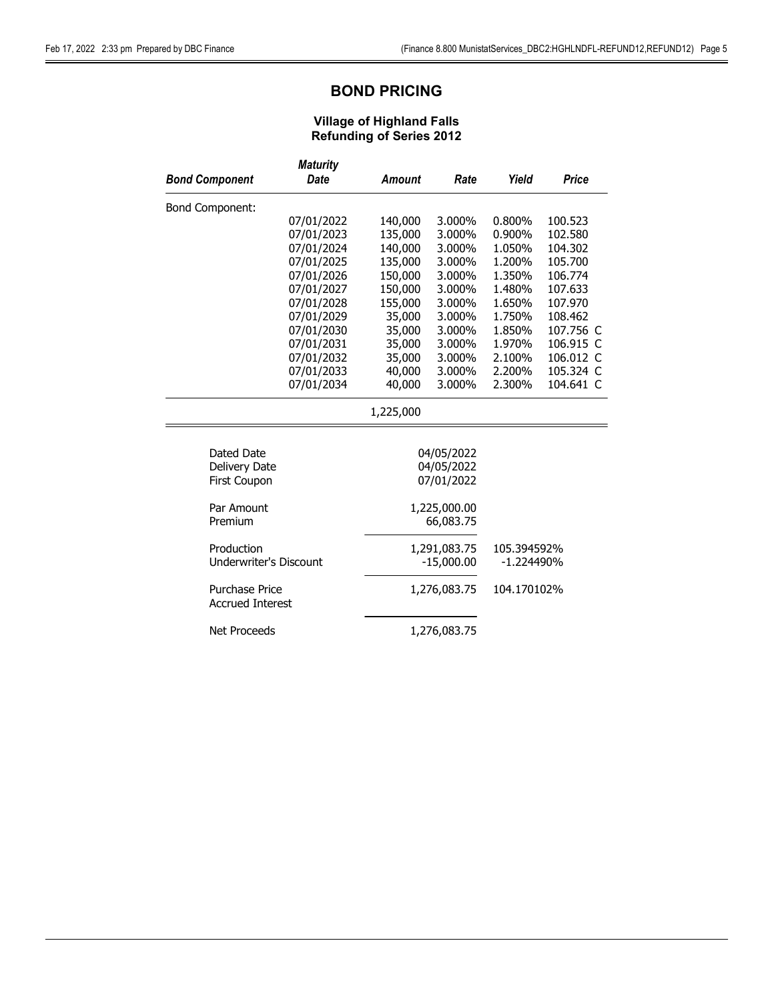# BOND PRICING

|                                           | <b>Maturity</b>                               |               |              |             |           |
|-------------------------------------------|-----------------------------------------------|---------------|--------------|-------------|-----------|
| <b>Bond Component</b>                     | <b>Date</b>                                   | <b>Amount</b> | Rate         | Yield       | Price     |
| <b>Bond Component:</b>                    |                                               |               |              |             |           |
|                                           | 07/01/2022                                    | 140,000       | 3.000%       | 0.800%      | 100.523   |
|                                           | 07/01/2023                                    | 135,000       | 3.000%       | 0.900%      | 102.580   |
|                                           | 07/01/2024                                    | 140,000       | 3.000%       | 1.050%      | 104.302   |
|                                           | 07/01/2025                                    | 135,000       | 3.000%       | 1.200%      | 105.700   |
|                                           | 07/01/2026                                    | 150,000       | 3.000%       | 1.350%      | 106.774   |
|                                           | 07/01/2027                                    | 150,000       | 3.000%       | 1.480%      | 107.633   |
|                                           | 07/01/2028                                    | 155,000       | 3.000%       | 1.650%      | 107.970   |
|                                           | 07/01/2029                                    | 35,000        | 3.000%       | 1.750%      | 108.462   |
|                                           | 07/01/2030                                    | 35,000        | 3.000%       | 1.850%      | 107.756 C |
|                                           | 07/01/2031                                    | 35,000        | 3.000%       | 1.970%      | 106.915 C |
|                                           | 07/01/2032                                    | 35,000        | 3.000%       | 2.100%      | 106.012 C |
|                                           | 07/01/2033                                    | 40,000        | 3.000%       | 2.200%      | 105.324 C |
|                                           | 07/01/2034                                    | 40,000        | 3.000%       | 2.300%      | 104.641 C |
|                                           |                                               | 1,225,000     |              |             |           |
|                                           |                                               |               |              |             |           |
| Dated Date                                |                                               |               | 04/05/2022   |             |           |
| Delivery Date                             |                                               |               | 04/05/2022   |             |           |
| First Coupon                              |                                               |               | 07/01/2022   |             |           |
| Par Amount                                |                                               |               | 1,225,000.00 |             |           |
| Premium                                   |                                               |               | 66,083.75    |             |           |
| Production                                |                                               |               | 1,291,083.75 | 105.394592% |           |
|                                           | <b>Underwriter's Discount</b><br>$-15,000.00$ |               | $-1.224490%$ |             |           |
| Purchase Price<br><b>Accrued Interest</b> |                                               | 1,276,083.75  |              | 104.170102% |           |
| <b>Net Proceeds</b>                       |                                               |               | 1,276,083.75 |             |           |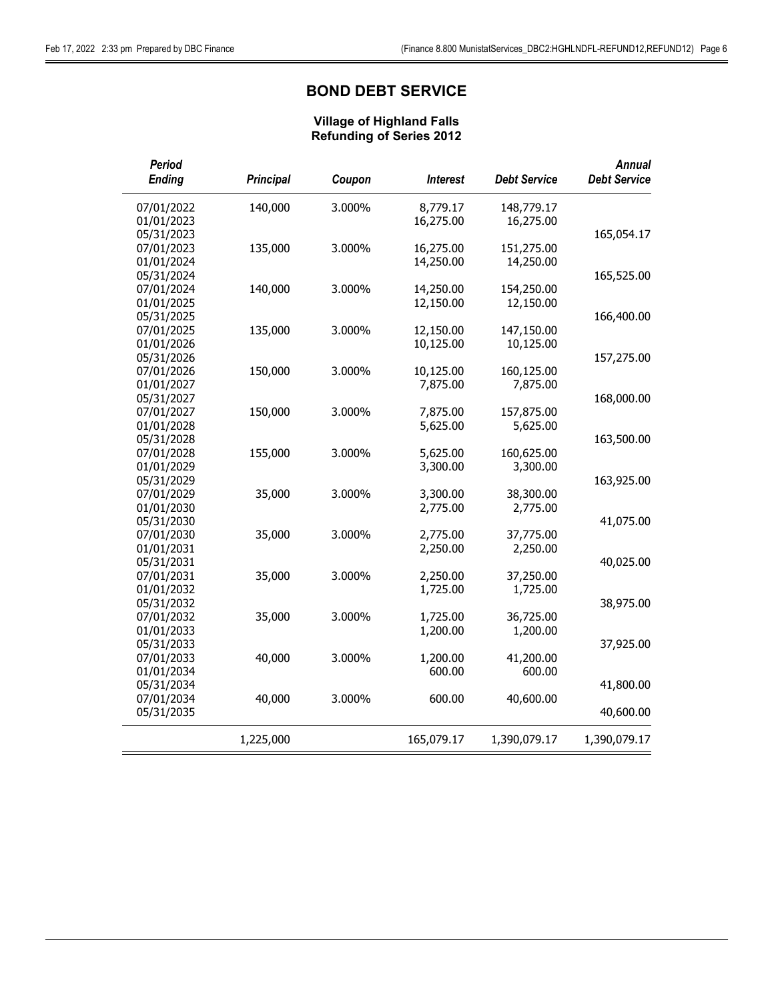# BOND DEBT SERVICE

| Period<br><b>Ending</b><br><b>Principal</b> | Coupon<br><b>Interest</b> | <b>Debt Service</b> | <b>Annual</b><br><b>Debt Service</b> |
|---------------------------------------------|---------------------------|---------------------|--------------------------------------|
| 07/01/2022<br>140,000                       | 3.000%<br>8,779.17        | 148,779.17          |                                      |
| 01/01/2023                                  | 16,275.00                 | 16,275.00           |                                      |
| 05/31/2023                                  |                           |                     | 165,054.17                           |
| 07/01/2023<br>135,000                       | 3.000%<br>16,275.00       | 151,275.00          |                                      |
| 01/01/2024                                  | 14,250.00                 | 14,250.00           |                                      |
| 05/31/2024                                  |                           |                     | 165,525.00                           |
| 07/01/2024<br>140,000                       | 3.000%<br>14,250.00       | 154,250.00          |                                      |
| 01/01/2025                                  | 12,150.00                 | 12,150.00           |                                      |
| 05/31/2025                                  |                           |                     | 166,400.00                           |
| 07/01/2025<br>135,000                       | 3.000%<br>12,150.00       | 147,150.00          |                                      |
| 01/01/2026                                  | 10,125.00                 | 10,125.00           |                                      |
| 05/31/2026                                  |                           |                     | 157,275.00                           |
| 07/01/2026<br>150,000                       | 3.000%<br>10,125.00       | 160,125.00          |                                      |
| 01/01/2027                                  | 7,875.00                  | 7,875.00            |                                      |
| 05/31/2027                                  |                           |                     | 168,000.00                           |
| 07/01/2027<br>150,000                       | 3.000%<br>7,875.00        | 157,875.00          |                                      |
| 01/01/2028                                  | 5,625.00                  | 5,625.00            |                                      |
| 05/31/2028                                  |                           |                     | 163,500.00                           |
| 07/01/2028<br>155,000                       | 3.000%<br>5,625.00        | 160,625.00          |                                      |
| 01/01/2029                                  | 3,300.00                  | 3,300.00            |                                      |
| 05/31/2029                                  |                           |                     | 163,925.00                           |
| 07/01/2029<br>35,000                        | 3.000%<br>3,300.00        | 38,300.00           |                                      |
| 01/01/2030                                  | 2,775.00                  | 2,775.00            |                                      |
| 05/31/2030                                  |                           |                     | 41,075.00                            |
| 07/01/2030<br>35,000                        | 3.000%<br>2,775.00        | 37,775.00           |                                      |
| 01/01/2031                                  | 2,250.00                  | 2,250.00            |                                      |
| 05/31/2031                                  |                           |                     | 40,025.00                            |
| 07/01/2031<br>35,000                        | 3.000%<br>2,250.00        | 37,250.00           |                                      |
| 01/01/2032                                  | 1,725.00                  | 1,725.00            |                                      |
| 05/31/2032                                  |                           |                     | 38,975.00                            |
| 07/01/2032<br>35,000                        | 3.000%<br>1,725.00        | 36,725.00           |                                      |
| 01/01/2033                                  | 1,200.00                  | 1,200.00            |                                      |
| 05/31/2033                                  |                           |                     | 37,925.00                            |
| 07/01/2033<br>40,000                        | 3.000%<br>1,200.00        | 41,200.00           |                                      |
| 01/01/2034                                  | 600.00                    | 600.00              |                                      |
| 05/31/2034                                  |                           |                     | 41,800.00                            |
| 07/01/2034<br>40,000                        | 3.000%<br>600.00          | 40,600.00           |                                      |
| 05/31/2035                                  |                           |                     | 40,600.00                            |
| 1,225,000                                   | 165,079.17                | 1,390,079.17        | 1,390,079.17                         |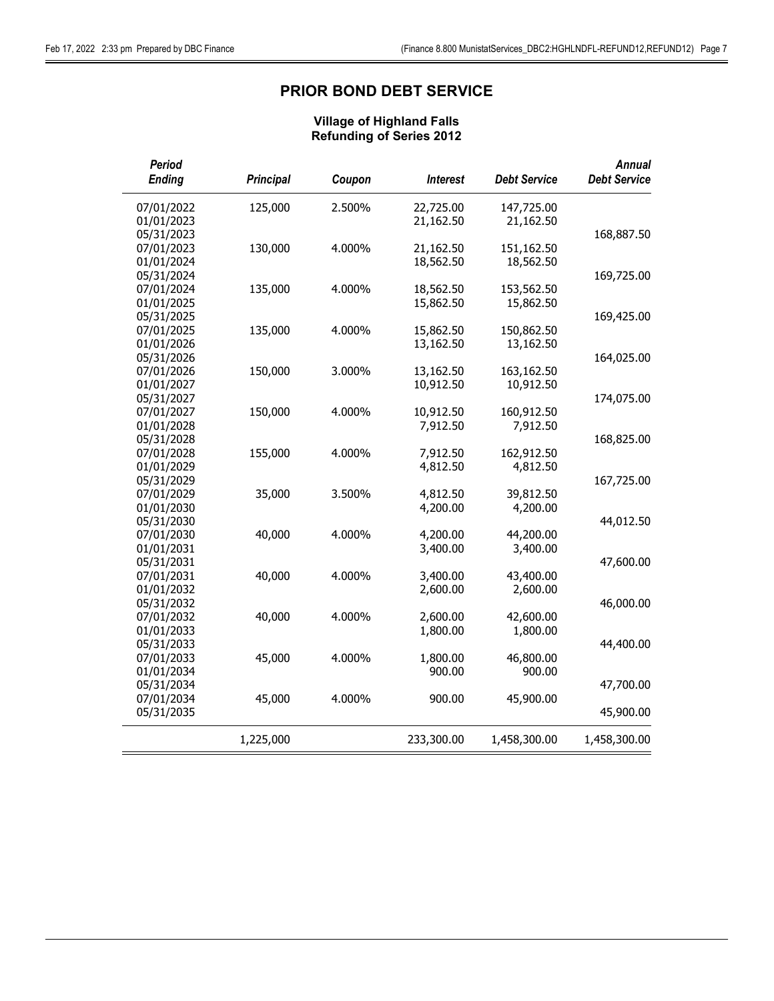# PRIOR BOND DEBT SERVICE

| Period<br><b>Ending</b>  | <b>Principal</b> | Coupon | <b>Interest</b> | <b>Debt Service</b> | <b>Annual</b><br><b>Debt Service</b> |
|--------------------------|------------------|--------|-----------------|---------------------|--------------------------------------|
| 07/01/2022               | 125,000          | 2.500% | 22,725.00       | 147,725.00          |                                      |
| 01/01/2023               |                  |        | 21,162.50       | 21,162.50           |                                      |
| 05/31/2023               |                  |        |                 |                     | 168,887.50                           |
| 07/01/2023               | 130,000          | 4.000% | 21,162.50       | 151,162.50          |                                      |
| 01/01/2024               |                  |        | 18,562.50       | 18,562.50           |                                      |
| 05/31/2024               |                  |        |                 |                     | 169,725.00                           |
| 07/01/2024               | 135,000          | 4.000% | 18,562.50       | 153,562.50          |                                      |
| 01/01/2025               |                  |        | 15,862.50       | 15,862.50           |                                      |
| 05/31/2025               |                  |        |                 |                     | 169,425.00                           |
| 07/01/2025               | 135,000          | 4.000% | 15,862.50       | 150,862.50          |                                      |
| 01/01/2026               |                  |        | 13,162.50       | 13,162.50           |                                      |
| 05/31/2026               |                  |        |                 |                     | 164,025.00                           |
| 07/01/2026               | 150,000          | 3.000% | 13,162.50       | 163,162.50          |                                      |
| 01/01/2027               |                  |        | 10,912.50       | 10,912.50           |                                      |
| 05/31/2027<br>07/01/2027 | 150,000          | 4.000% | 10,912.50       | 160,912.50          | 174,075.00                           |
| 01/01/2028               |                  |        | 7,912.50        | 7,912.50            |                                      |
| 05/31/2028               |                  |        |                 |                     | 168,825.00                           |
| 07/01/2028               | 155,000          | 4.000% | 7,912.50        | 162,912.50          |                                      |
| 01/01/2029               |                  |        | 4,812.50        | 4,812.50            |                                      |
| 05/31/2029               |                  |        |                 |                     | 167,725.00                           |
| 07/01/2029               | 35,000           | 3.500% | 4,812.50        | 39,812.50           |                                      |
| 01/01/2030               |                  |        | 4,200.00        | 4,200.00            |                                      |
| 05/31/2030               |                  |        |                 |                     | 44,012.50                            |
| 07/01/2030               | 40,000           | 4.000% | 4,200.00        | 44,200.00           |                                      |
| 01/01/2031               |                  |        | 3,400.00        | 3,400.00            |                                      |
| 05/31/2031               |                  |        |                 |                     | 47,600.00                            |
| 07/01/2031               | 40,000           | 4.000% | 3,400.00        | 43,400.00           |                                      |
| 01/01/2032               |                  |        | 2,600.00        | 2,600.00            |                                      |
| 05/31/2032               |                  |        |                 |                     | 46,000.00                            |
| 07/01/2032               | 40,000           | 4.000% | 2,600.00        | 42,600.00           |                                      |
| 01/01/2033               |                  |        | 1,800.00        | 1,800.00            |                                      |
| 05/31/2033               |                  |        |                 |                     | 44,400.00                            |
| 07/01/2033               | 45,000           | 4.000% | 1,800.00        | 46,800.00           |                                      |
| 01/01/2034               |                  |        | 900.00          | 900.00              |                                      |
| 05/31/2034               |                  |        |                 |                     | 47,700.00                            |
| 07/01/2034               | 45,000           | 4.000% | 900.00          | 45,900.00           |                                      |
| 05/31/2035               |                  |        |                 |                     | 45,900.00                            |
|                          | 1,225,000        |        | 233,300.00      | 1,458,300.00        | 1,458,300.00                         |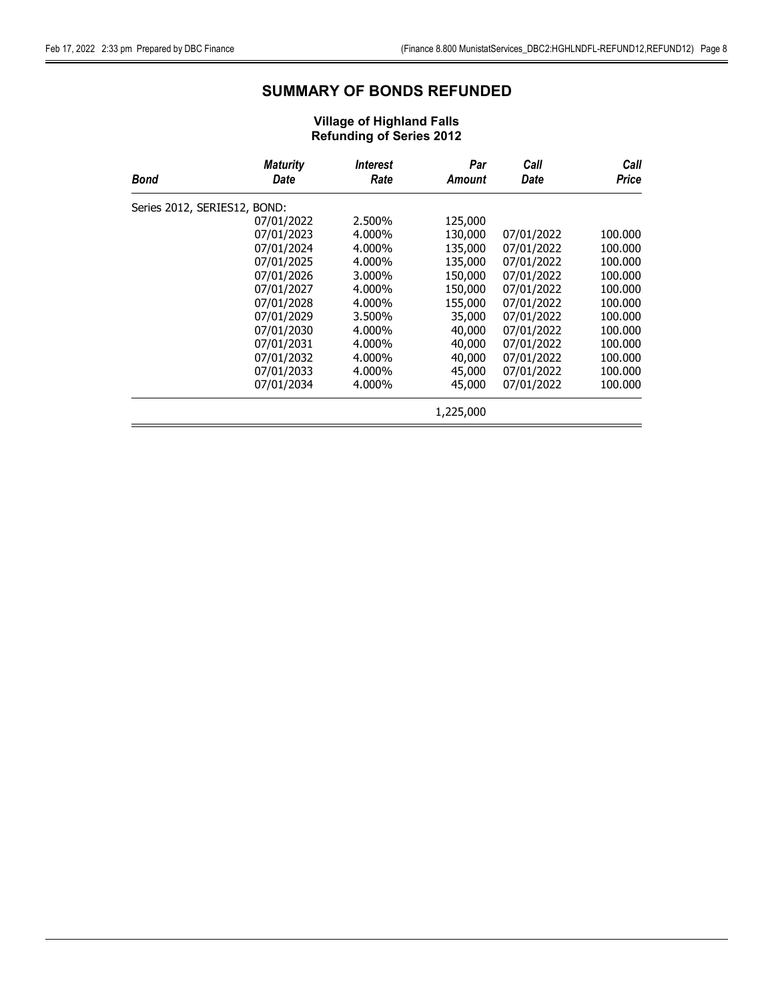# SUMMARY OF BONDS REFUNDED

| Bond                         | <b>Maturity</b><br>Date | <i><b>Interest</b></i><br>Rate | Par<br>Amount | Call<br>Date | Call<br>Price |
|------------------------------|-------------------------|--------------------------------|---------------|--------------|---------------|
| Series 2012, SERIES12, BOND: |                         |                                |               |              |               |
|                              | 07/01/2022              | 2.500%                         | 125,000       |              |               |
|                              | 07/01/2023              | 4.000%                         | 130,000       | 07/01/2022   | 100.000       |
|                              | 07/01/2024              | 4.000%                         | 135,000       | 07/01/2022   | 100.000       |
|                              | 07/01/2025              | 4.000%                         | 135,000       | 07/01/2022   | 100,000       |
|                              | 07/01/2026              | 3.000%                         | 150,000       | 07/01/2022   | 100.000       |
|                              | 07/01/2027              | 4.000%                         | 150,000       | 07/01/2022   | 100.000       |
|                              | 07/01/2028              | 4.000%                         | 155,000       | 07/01/2022   | 100.000       |
|                              | 07/01/2029              | 3.500%                         | 35,000        | 07/01/2022   | 100.000       |
|                              | 07/01/2030              | 4.000%                         | 40,000        | 07/01/2022   | 100,000       |
|                              | 07/01/2031              | 4.000%                         | 40,000        | 07/01/2022   | 100,000       |
|                              | 07/01/2032              | 4.000%                         | 40,000        | 07/01/2022   | 100,000       |
|                              | 07/01/2033              | 4.000%                         | 45,000        | 07/01/2022   | 100.000       |
|                              | 07/01/2034              | 4.000%                         | 45,000        | 07/01/2022   | 100.000       |
|                              |                         |                                | 1,225,000     |              |               |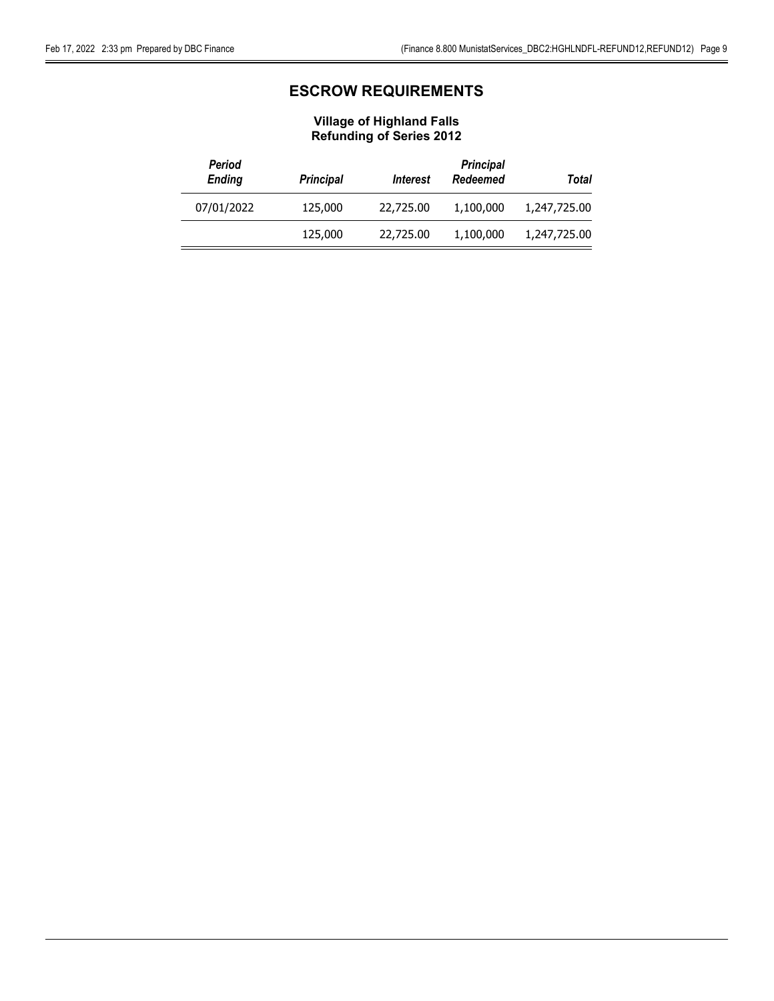# ESCROW REQUIREMENTS

| Period<br><b>Ending</b> | <b>Principal</b> | <i><u><b>Interest</b></u></i> | <b>Principal</b><br>Redeemed | Total        |
|-------------------------|------------------|-------------------------------|------------------------------|--------------|
| 07/01/2022              | 125,000          | 22,725.00                     | 1,100,000                    | 1,247,725.00 |
|                         | 125,000          | 22,725.00                     | 1,100,000                    | 1,247,725.00 |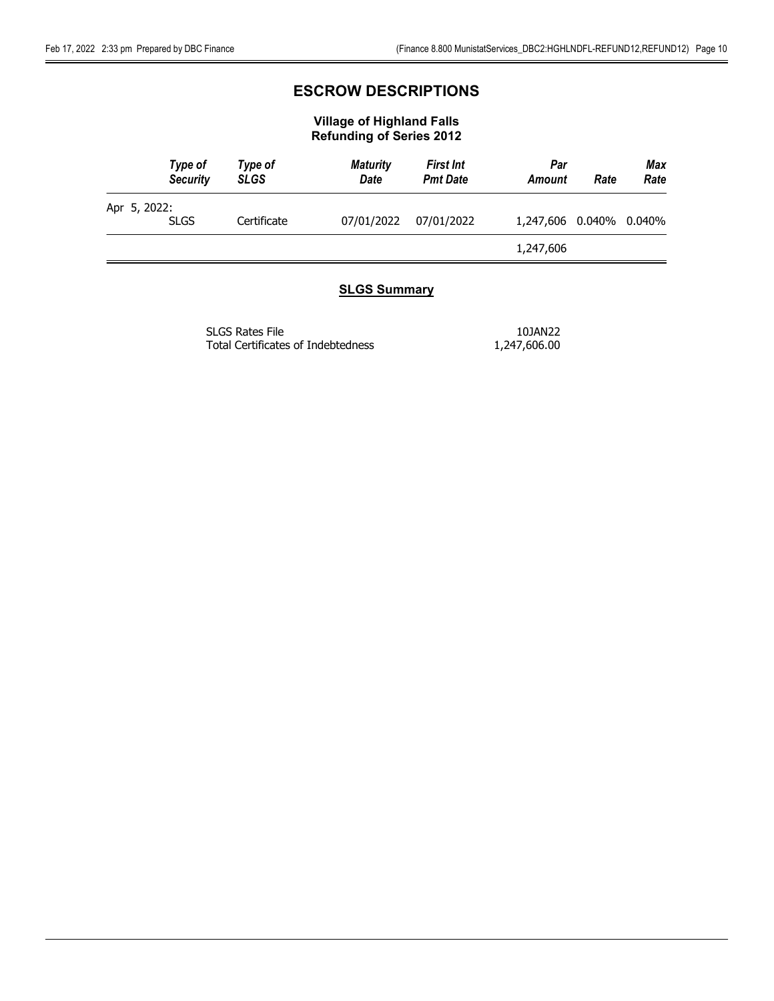# ESCROW DESCRIPTIONS

### Village of Highland Falls Refunding of Series 2012

|              | Type of<br><b>Security</b> | Type of<br><b>SLGS</b> | <b>Maturity</b><br><b>Date</b> | <b>First Int</b><br><b>Pmt Date</b> | Par<br>Amount             | Rate | Max<br>Rate |
|--------------|----------------------------|------------------------|--------------------------------|-------------------------------------|---------------------------|------|-------------|
| Apr 5, 2022: | <b>SLGS</b>                | Certificate            | 07/01/2022                     | 07/01/2022                          | 1,247,606  0.040%  0.040% |      |             |
|              |                            |                        |                                |                                     | 1,247,606                 |      |             |

### **SLGS Summary**

| SLGS Rates File                    | 10JAN22      |
|------------------------------------|--------------|
| Total Certificates of Indebtedness | 1,247,606.00 |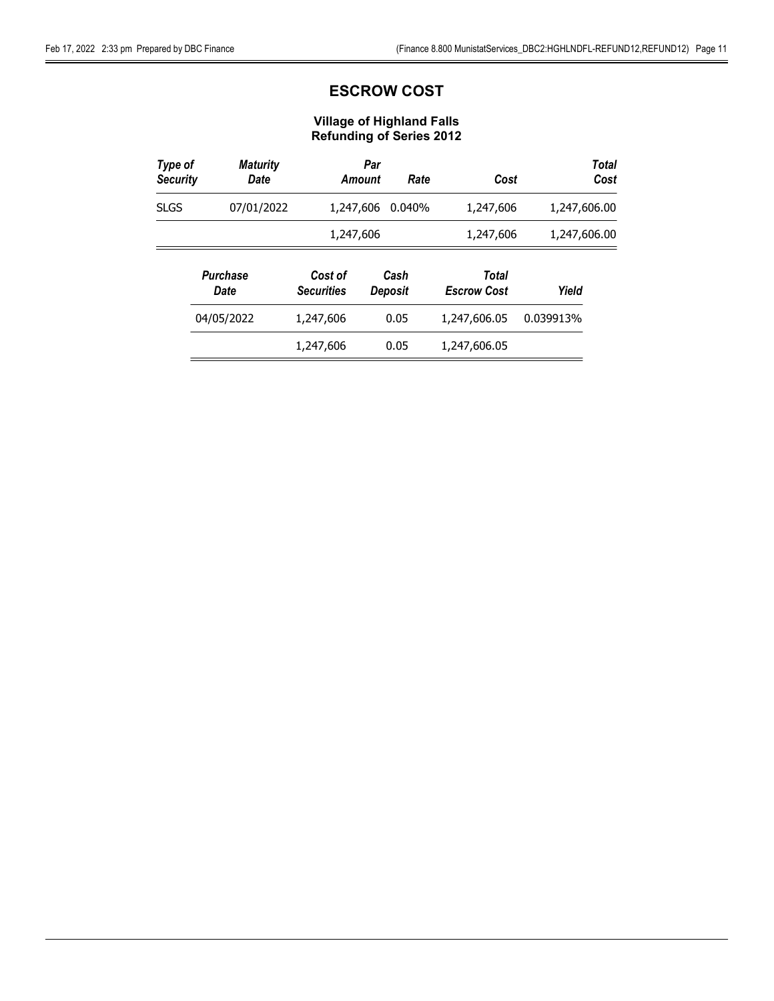# ESCROW COST

| Type of<br><b>Security</b> | <b>Maturity</b><br>Date |                              | Par<br>Amount | Rate            | Cost                        | <b>Total</b><br>Cost |
|----------------------------|-------------------------|------------------------------|---------------|-----------------|-----------------------------|----------------------|
| <b>SLGS</b>                | 07/01/2022              | 1,247,606                    |               | 0.040%          | 1,247,606                   | 1,247,606.00         |
|                            |                         | 1,247,606                    |               |                 | 1,247,606                   | 1,247,606.00         |
|                            | <b>Purchase</b><br>Date | Cost of<br><b>Securities</b> |               | Cash<br>Deposit | Total<br><b>Escrow Cost</b> | Yield                |
|                            | 04/05/2022              | 1,247,606                    |               | 0.05            | 1,247,606.05                | 0.039913%            |
|                            |                         | 1,247,606                    |               | 0.05            | 1,247,606.05                |                      |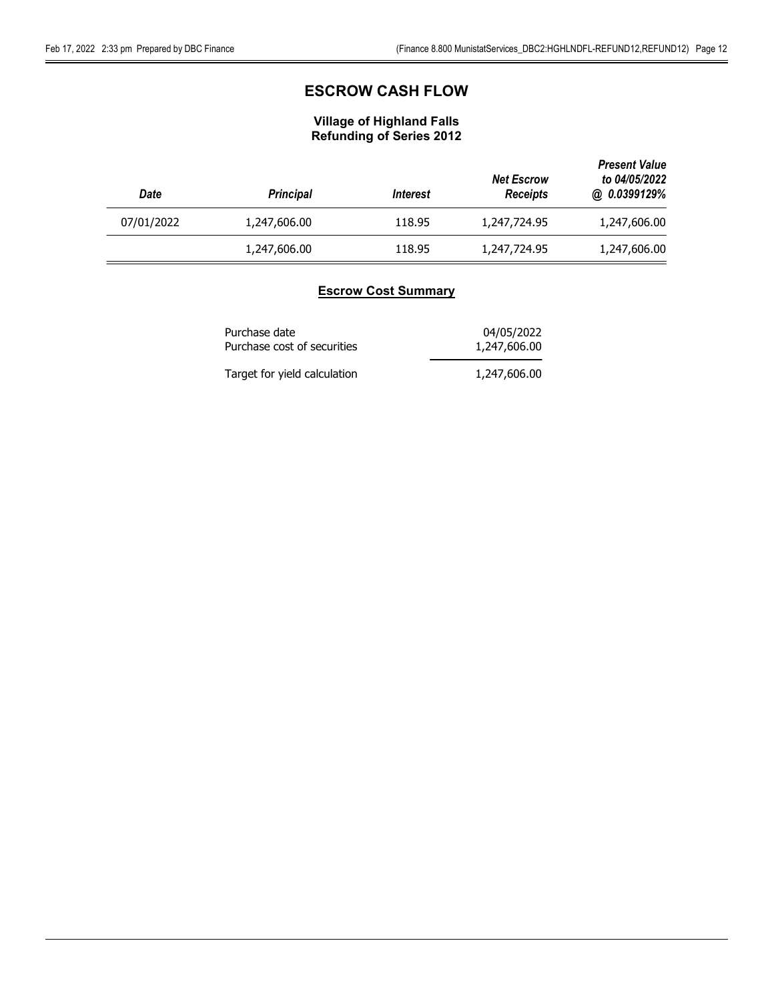# ESCROW CASH FLOW

## Village of Highland Falls Refunding of Series 2012

| Date       | <b>Principal</b> | <i><u><b>Interest</b></u></i> | <b>Net Escrow</b><br><b>Receipts</b> | <b>Present Value</b><br>to 04/05/2022<br>@ 0.0399129% |
|------------|------------------|-------------------------------|--------------------------------------|-------------------------------------------------------|
| 07/01/2022 | 1,247,606.00     | 118.95                        | 1,247,724.95                         | 1,247,606.00                                          |
|            | 1,247,606.00     | 118.95                        | 1,247,724.95                         | 1,247,606.00                                          |

### Escrow Cost Summary

| Purchase date                | 04/05/2022   |
|------------------------------|--------------|
| Purchase cost of securities  | 1,247,606.00 |
| Target for yield calculation | 1,247,606.00 |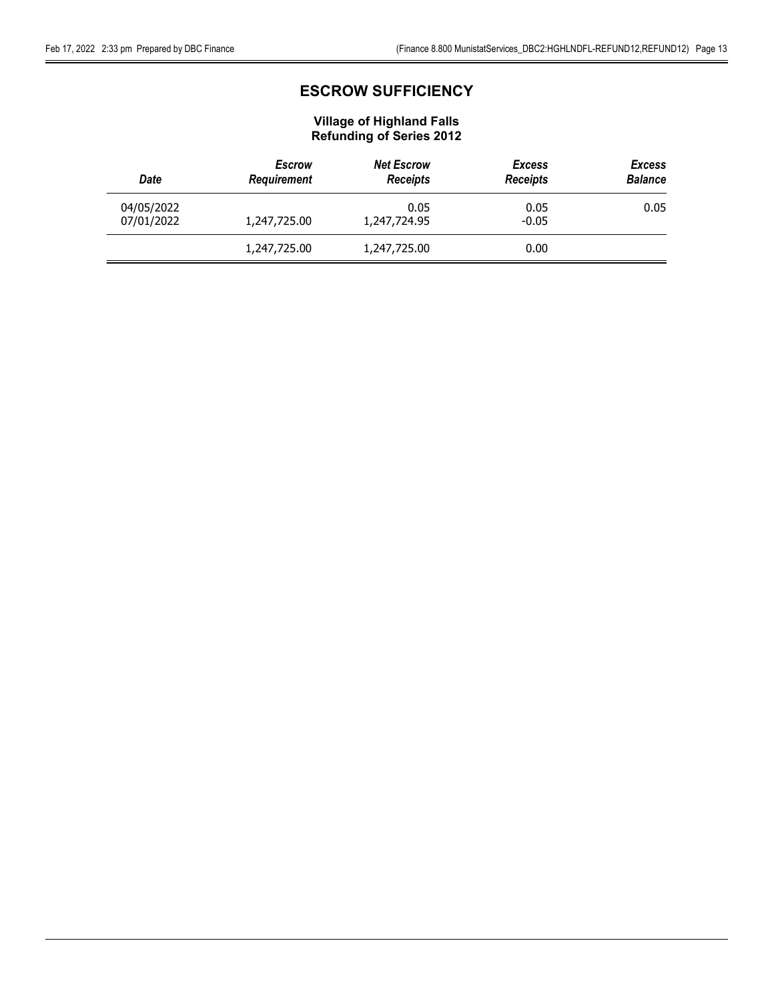# ESCROW SUFFICIENCY

| <b>Escrow</b><br><b>Requirement</b><br>Date |              | <b>Net Escrow</b><br><b>Receipts</b> | <b>Excess</b><br><b>Receipts</b> | <b>Excess</b><br><b>Balance</b> |
|---------------------------------------------|--------------|--------------------------------------|----------------------------------|---------------------------------|
| 04/05/2022<br>07/01/2022                    | 1,247,725.00 | 0.05<br>1,247,724.95                 | 0.05<br>$-0.05$                  | 0.05                            |
|                                             | 1,247,725.00 | 1,247,725.00                         | 0.00                             |                                 |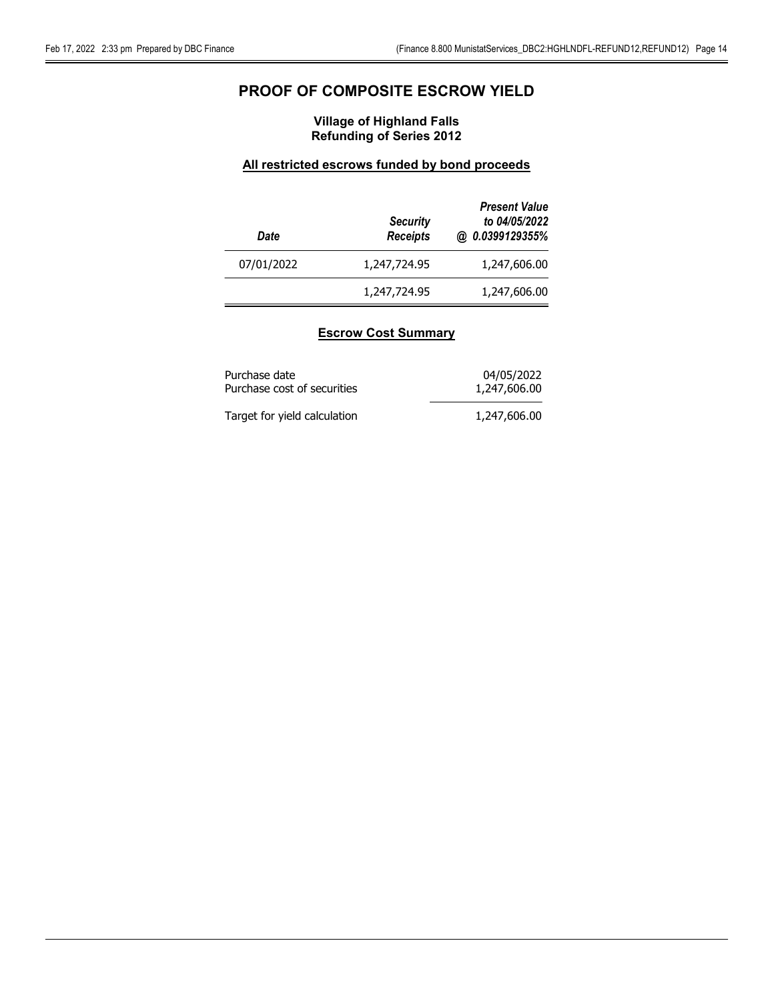# PROOF OF COMPOSITE ESCROW YIELD

### Village of Highland Falls Refunding of Series 2012

### All restricted escrows funded by bond proceeds

| Date       | <b>Security</b><br><b>Receipts</b> | <b>Present Value</b><br>to 04/05/2022<br>@ 0.0399129355% |
|------------|------------------------------------|----------------------------------------------------------|
| 07/01/2022 | 1,247,724.95                       | 1,247,606.00                                             |
|            | 1,247,724.95                       | 1,247,606.00                                             |

### Escrow Cost Summary

| Purchase date                | 04/05/2022   |
|------------------------------|--------------|
| Purchase cost of securities  | 1,247,606.00 |
| Target for yield calculation | 1,247,606.00 |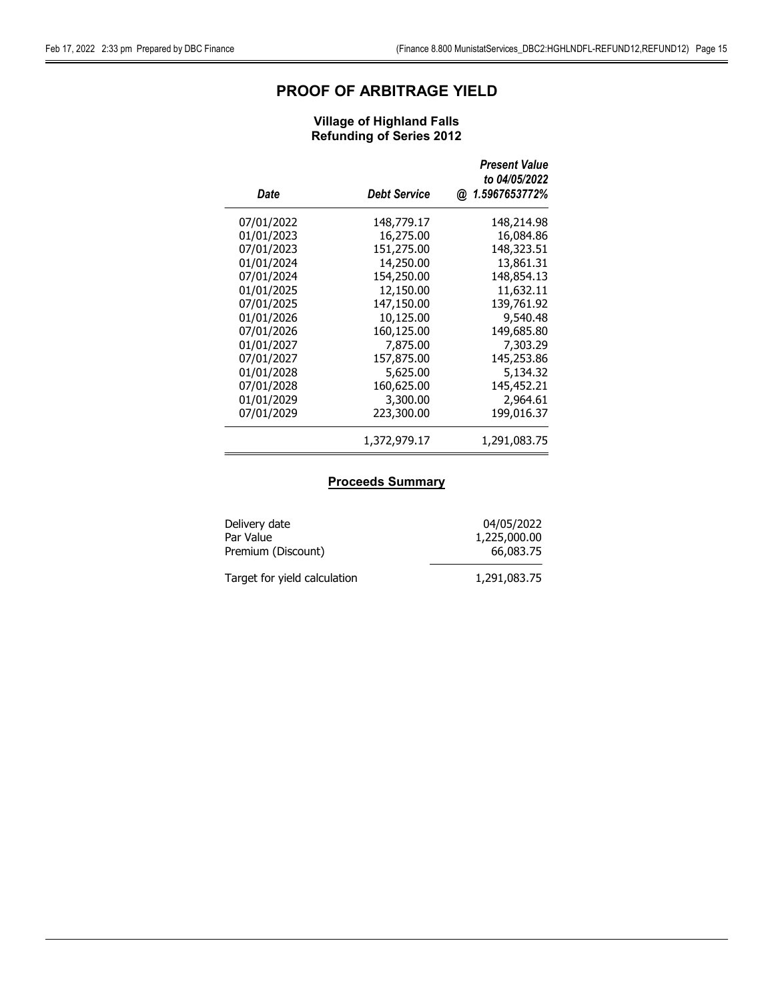# PROOF OF ARBITRAGE YIELD

### Village of Highland Falls Refunding of Series 2012

| Date       | <b>Debt Service</b> | <b>Present Value</b><br>to 04/05/2022<br>@ 1.5967653772% |
|------------|---------------------|----------------------------------------------------------|
| 07/01/2022 | 148,779.17          | 148,214.98                                               |
| 01/01/2023 | 16,275.00           | 16,084.86                                                |
| 07/01/2023 | 151,275.00          | 148,323.51                                               |
| 01/01/2024 | 14,250.00           | 13,861.31                                                |
| 07/01/2024 | 154,250.00          | 148,854.13                                               |
| 01/01/2025 | 12,150.00           | 11,632.11                                                |
| 07/01/2025 | 147,150.00          | 139,761.92                                               |
| 01/01/2026 | 10,125.00           | 9,540.48                                                 |
| 07/01/2026 | 160,125.00          | 149,685.80                                               |
| 01/01/2027 | 7,875.00            | 7,303.29                                                 |
| 07/01/2027 | 157,875.00          | 145,253.86                                               |
| 01/01/2028 | 5,625.00            | 5,134.32                                                 |
| 07/01/2028 | 160,625.00          | 145,452.21                                               |
| 01/01/2029 | 3,300.00            | 2,964.61                                                 |
| 07/01/2029 | 223,300.00          | 199,016.37                                               |
|            | 1,372,979.17        | 1,291,083.75                                             |

### **Proceeds Summary**

| Delivery date                | 04/05/2022   |
|------------------------------|--------------|
| Par Value                    | 1,225,000.00 |
| Premium (Discount)           | 66,083,75    |
| Target for yield calculation | 1,291,083.75 |